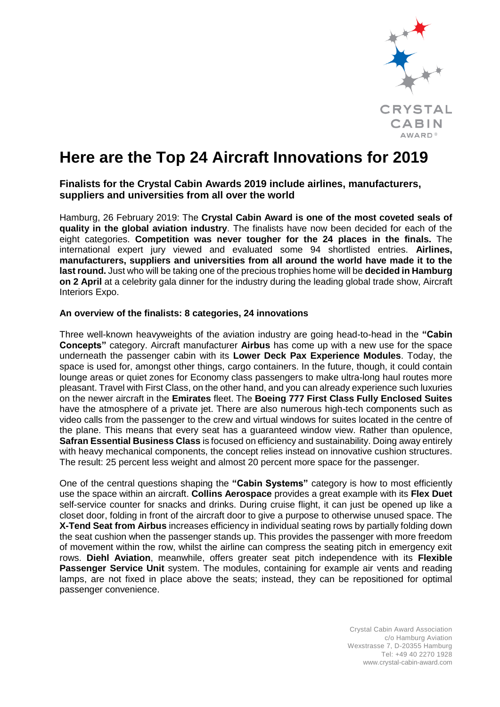

# **Here are the Top 24 Aircraft Innovations for 2019**

**Finalists for the Crystal Cabin Awards 2019 include airlines, manufacturers, suppliers and universities from all over the world**

Hamburg, 26 February 2019: The **Crystal Cabin Award is one of the most coveted seals of quality in the global aviation industry**. The finalists have now been decided for each of the eight categories. **Competition was never tougher for the 24 places in the finals.** The international expert jury viewed and evaluated some 94 shortlisted entries. **Airlines, manufacturers, suppliers and universities from all around the world have made it to the last round.** Just who will be taking one of the precious trophies home will be **decided in Hamburg on 2 April** at a celebrity gala dinner for the industry during the leading global trade show, Aircraft Interiors Expo.

## **An overview of the finalists: 8 categories, 24 innovations**

Three well-known heavyweights of the aviation industry are going head-to-head in the **"Cabin Concepts"** category. Aircraft manufacturer **Airbus** has come up with a new use for the space underneath the passenger cabin with its **Lower Deck Pax Experience Modules**. Today, the space is used for, amongst other things, cargo containers. In the future, though, it could contain lounge areas or quiet zones for Economy class passengers to make ultra-long haul routes more pleasant. Travel with First Class, on the other hand, and you can already experience such luxuries on the newer aircraft in the **Emirates** fleet. The **Boeing 777 First Class Fully Enclosed Suites** have the atmosphere of a private jet. There are also numerous high-tech components such as video calls from the passenger to the crew and virtual windows for suites located in the centre of the plane. This means that every seat has a guaranteed window view. Rather than opulence, **Safran Essential Business Class** is focused on efficiency and sustainability. Doing away entirely with heavy mechanical components, the concept relies instead on innovative cushion structures. The result: 25 percent less weight and almost 20 percent more space for the passenger.

One of the central questions shaping the **"Cabin Systems"** category is how to most efficiently use the space within an aircraft. **Collins Aerospace** provides a great example with its **Flex Duet** self-service counter for snacks and drinks. During cruise flight, it can just be opened up like a closet door, folding in front of the aircraft door to give a purpose to otherwise unused space. The **X-Tend Seat from Airbus** increases efficiency in individual seating rows by partially folding down the seat cushion when the passenger stands up. This provides the passenger with more freedom of movement within the row, whilst the airline can compress the seating pitch in emergency exit rows. **Diehl Aviation**, meanwhile, offers greater seat pitch independence with its **Flexible Passenger Service Unit** system. The modules, containing for example air vents and reading lamps, are not fixed in place above the seats; instead, they can be repositioned for optimal passenger convenience.

> Crystal Cabin Award Association c/o Hamburg Aviation Wexstrasse 7, D-20355 Hamburg Tel: +49 40 2270 1928 www.crystal-cabin-award.com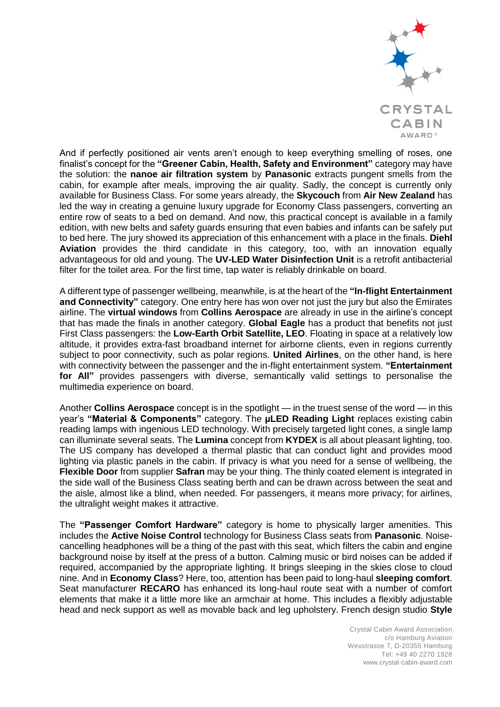

And if perfectly positioned air vents aren't enough to keep everything smelling of roses, one finalist's concept for the **"Greener Cabin, Health, Safety and Environment"** category may have the solution: the **nanoe air filtration system** by **Panasonic** extracts pungent smells from the cabin, for example after meals, improving the air quality. Sadly, the concept is currently only available for Business Class. For some years already, the **Skycouch** from **Air New Zealand** has led the way in creating a genuine luxury upgrade for Economy Class passengers, converting an entire row of seats to a bed on demand. And now, this practical concept is available in a family edition, with new belts and safety guards ensuring that even babies and infants can be safely put to bed here. The jury showed its appreciation of this enhancement with a place in the finals. **Diehl Aviation** provides the third candidate in this category, too, with an innovation equally advantageous for old and young. The **UV-LED Water Disinfection Unit** is a retrofit antibacterial filter for the toilet area. For the first time, tap water is reliably drinkable on board.

A different type of passenger wellbeing, meanwhile, is at the heart of the **"In-flight Entertainment and Connectivity"** category. One entry here has won over not just the jury but also the Emirates airline. The **virtual windows** from **Collins Aerospace** are already in use in the airline's concept that has made the finals in another category. **Global Eagle** has a product that benefits not just First Class passengers: the **Low-Earth Orbit Satellite, LEO**. Floating in space at a relatively low altitude, it provides extra-fast broadband internet for airborne clients, even in regions currently subject to poor connectivity, such as polar regions. **United Airlines**, on the other hand, is here with connectivity between the passenger and the in-flight entertainment system. **"Entertainment for All"** provides passengers with diverse, semantically valid settings to personalise the multimedia experience on board.

Another **Collins Aerospace** concept is in the spotlight — in the truest sense of the word — in this year's **"Material & Components"** category. The **µLED Reading Light** replaces existing cabin reading lamps with ingenious LED technology. With precisely targeted light cones, a single lamp can illuminate several seats. The **Lumina** concept from **KYDEX** is all about pleasant lighting, too. The US company has developed a thermal plastic that can conduct light and provides mood lighting via plastic panels in the cabin. If privacy is what you need for a sense of wellbeing, the **Flexible Door** from supplier **Safran** may be your thing. The thinly coated element is integrated in the side wall of the Business Class seating berth and can be drawn across between the seat and the aisle, almost like a blind, when needed. For passengers, it means more privacy; for airlines, the ultralight weight makes it attractive.

The **"Passenger Comfort Hardware"** category is home to physically larger amenities. This includes the **Active Noise Control** technology for Business Class seats from **Panasonic**. Noisecancelling headphones will be a thing of the past with this seat, which filters the cabin and engine background noise by itself at the press of a button. Calming music or bird noises can be added if required, accompanied by the appropriate lighting. It brings sleeping in the skies close to cloud nine. And in **Economy Class**? Here, too, attention has been paid to long-haul **sleeping comfort**. Seat manufacturer **RECARO** has enhanced its long-haul route seat with a number of comfort elements that make it a little more like an armchair at home. This includes a flexibly adjustable head and neck support as well as movable back and leg upholstery. French design studio **Style** 

> Crystal Cabin Award Association c/o Hamburg Aviation Wexstrasse 7, D-20355 Hamburg Tel: +49 40 2270 1928 www.crystal-cabin-award.com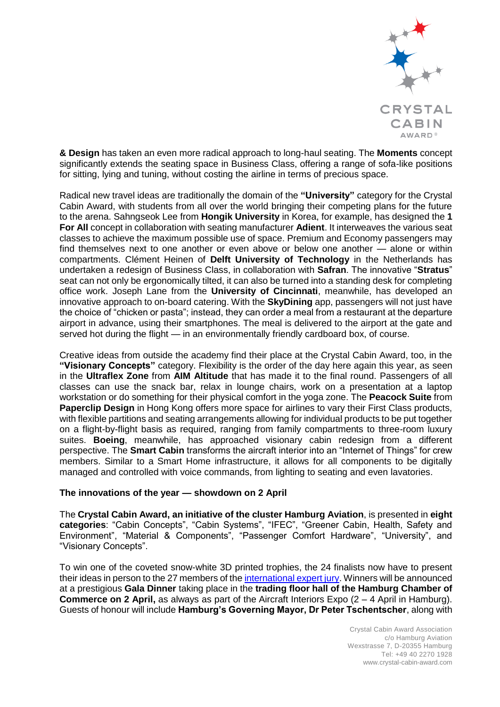

**& Design** has taken an even more radical approach to long-haul seating. The **Moments** concept significantly extends the seating space in Business Class, offering a range of sofa-like positions for sitting, lying and tuning, without costing the airline in terms of precious space.

Radical new travel ideas are traditionally the domain of the **"University"** category for the Crystal Cabin Award, with students from all over the world bringing their competing plans for the future to the arena. Sahngseok Lee from **Hongik University** in Korea, for example, has designed the **1 For All** concept in collaboration with seating manufacturer **Adient**. It interweaves the various seat classes to achieve the maximum possible use of space. Premium and Economy passengers may find themselves next to one another or even above or below one another — alone or within compartments. Clément Heinen of **Delft University of Technology** in the Netherlands has undertaken a redesign of Business Class, in collaboration with **Safran**. The innovative "**Stratus**" seat can not only be ergonomically tilted, it can also be turned into a standing desk for completing office work. Joseph Lane from the **University of Cincinnati**, meanwhile, has developed an innovative approach to on-board catering. With the **SkyDining** app, passengers will not just have the choice of "chicken or pasta"; instead, they can order a meal from a restaurant at the departure airport in advance, using their smartphones. The meal is delivered to the airport at the gate and served hot during the flight — in an environmentally friendly cardboard box, of course.

Creative ideas from outside the academy find their place at the Crystal Cabin Award, too, in the **"Visionary Concepts"** category. Flexibility is the order of the day here again this year, as seen in the **Ultraflex Zone** from **AIM Altitude** that has made it to the final round. Passengers of all classes can use the snack bar, relax in lounge chairs, work on a presentation at a laptop workstation or do something for their physical comfort in the yoga zone. The **Peacock Suite** from **Paperclip Design** in Hong Kong offers more space for airlines to vary their First Class products, with flexible partitions and seating arrangements allowing for individual products to be put together on a flight-by-flight basis as required, ranging from family compartments to three-room luxury suites. **Boeing**, meanwhile, has approached visionary cabin redesign from a different perspective. The **Smart Cabin** transforms the aircraft interior into an "Internet of Things" for crew members. Similar to a Smart Home infrastructure, it allows for all components to be digitally managed and controlled with voice commands, from lighting to seating and even lavatories.

# **The innovations of the year — showdown on 2 April**

The **Crystal Cabin Award, an initiative of the cluster Hamburg Aviation**, is presented in **eight categories**: "Cabin Concepts", "Cabin Systems", "IFEC", "Greener Cabin, Health, Safety and Environment", "Material & Components", "Passenger Comfort Hardware", "University", and "Visionary Concepts".

To win one of the coveted snow-white 3D printed trophies, the 24 finalists now have to present their ideas in person to the 27 members of the [international expert jury.](http://www.crystal-cabin-award.com/judging-panel.html) Winners will be announced at a prestigious **Gala Dinner** taking place in the **trading floor hall of the Hamburg Chamber of Commerce on 2 April,** as always as part of the Aircraft Interiors Expo (2 – 4 April in Hamburg). Guests of honour will include **Hamburg's Governing Mayor, Dr Peter Tschentscher**, along with